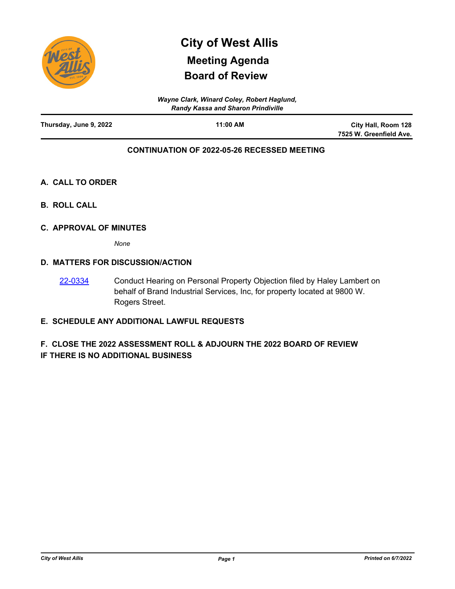

# **Board of Review City of West Allis Meeting Agenda**

| Wayne Clark, Winard Coley, Robert Haglund,<br><b>Randy Kassa and Sharon Prindiville</b> |          |                         |
|-----------------------------------------------------------------------------------------|----------|-------------------------|
| Thursday, June 9, 2022                                                                  | 11:00 AM | City Hall, Room 128     |
|                                                                                         |          | 7525 W. Greenfield Ave. |

# **CONTINUATION OF 2022-05-26 RECESSED MEETING**

# **A. CALL TO ORDER**

**B. ROLL CALL**

### **C. APPROVAL OF MINUTES**

*None*

## **D. MATTERS FOR DISCUSSION/ACTION**

Conduct Hearing on Personal Property Objection filed by Haley Lambert on behalf of Brand Industrial Services, Inc, for property located at 9800 W. Rogers Street. [22-0334](http://westalliswi.legistar.com/gateway.aspx?m=l&id=/matter.aspx?key=28944)

# **E. SCHEDULE ANY ADDITIONAL LAWFUL REQUESTS**

# **F. CLOSE THE 2022 ASSESSMENT ROLL & ADJOURN THE 2022 BOARD OF REVIEW IF THERE IS NO ADDITIONAL BUSINESS**